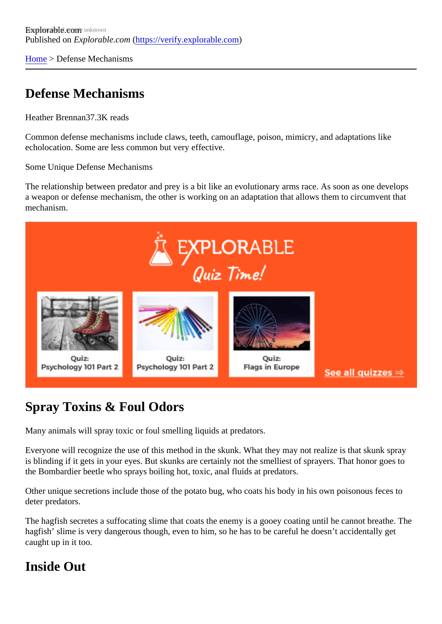[Home](https://verify.explorable.com/)> Defense Mechanisms

### Defense Mechanisms

Heather Brennan<sup>7</sup>.3K reads

Common defense mechanisms include claws, teeth, camouflage, poison, mimicry, and adaptations like echolocation. Some are less common but very effective.

Some Unique Defense Mechanisms

The relationship between predator and prey is a bit like an evolutionary arms race. As soon as one develo a weapon or defense mechanism, the other is working on an adaptation that allows them to circumvent that mechanism.

# Spray Toxins & Foul Odors

Many animals will spray toxic or foul smelling liquids at predators.

Everyone will recognize the use of this method in the skunk. What they may not realize is that skunk spray is blinding if it gets in your eyes. But skunks are certainly not the smelliest of sprayers. That honor goes to the Bombardier beetle who sprays boiling hot, toxic, anal fluids at predators.

Other unique secretions include those of the potato bug, who coats his body in his own poisonous feces to deter predators.

The hagfish secretes a suffocating slime that coats the enemy is a gooey coating until he cannot breathe. hagfish' slime is very dangerous though, even to him, so he has to be careful he doesn't accidentally get caught up in it too.

#### Inside Out